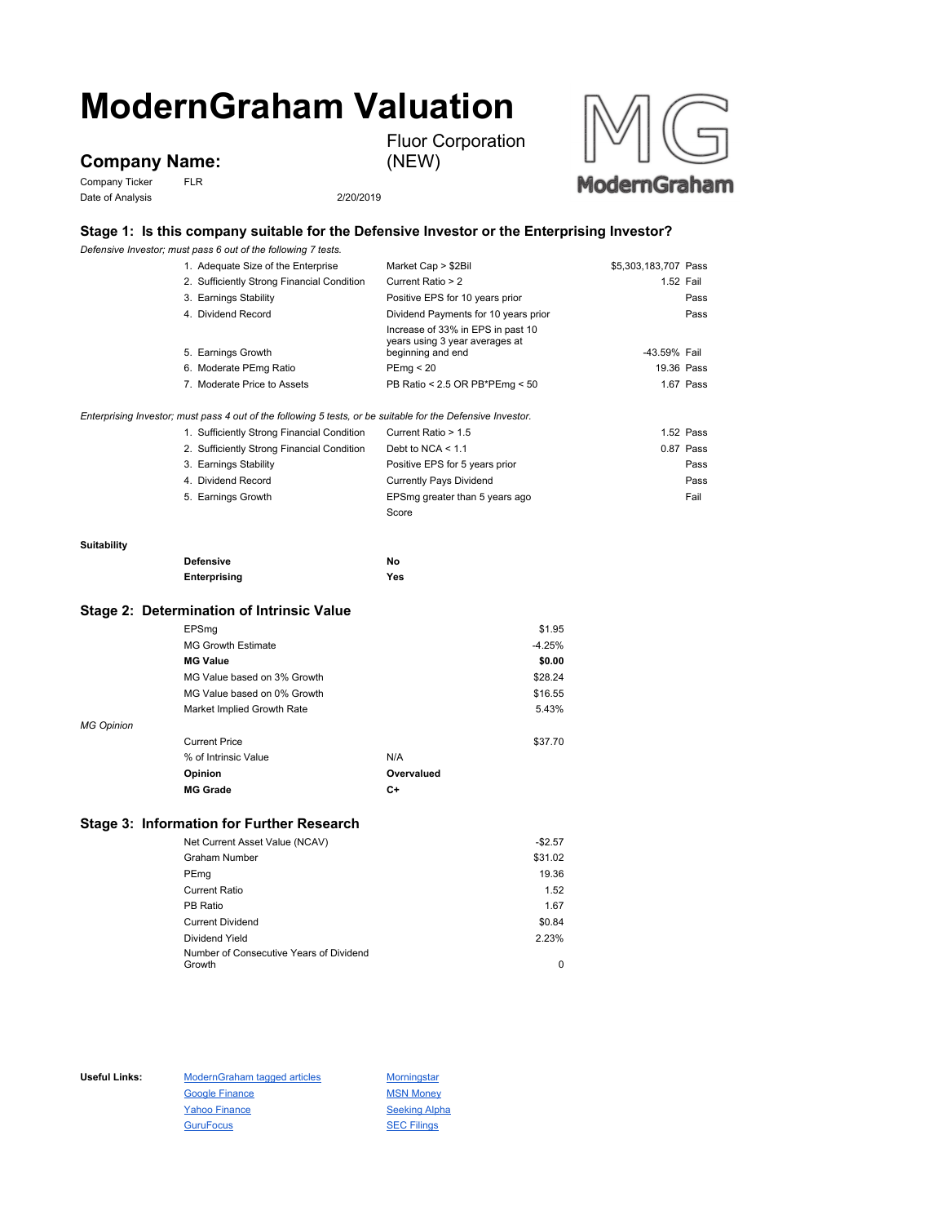# **ModernGraham Valuation**

**Company Name:**

Company Ticker FLR Date of Analysis 2/20/2019

(NEW)

Fluor Corporation



### **Stage 1: Is this company suitable for the Defensive Investor or the Enterprising Investor?**

*Defensive Investor; must pass 6 out of the following 7 tests.*

|                    | 1. Adequate Size of the Enterprise                                                                                                                        | Market Cap > \$2Bil                                                                      | \$5,303,183,707 Pass |
|--------------------|-----------------------------------------------------------------------------------------------------------------------------------------------------------|------------------------------------------------------------------------------------------|----------------------|
|                    | 2. Sufficiently Strong Financial Condition                                                                                                                | Current Ratio > 2                                                                        | 1.52 Fail            |
|                    | 3. Earnings Stability                                                                                                                                     | Positive EPS for 10 years prior                                                          | Pass                 |
|                    | 4. Dividend Record                                                                                                                                        | Dividend Payments for 10 years prior                                                     | Pass                 |
|                    | 5. Earnings Growth                                                                                                                                        | Increase of 33% in EPS in past 10<br>years using 3 year averages at<br>beginning and end | -43.59% Fail         |
|                    | 6. Moderate PEmg Ratio                                                                                                                                    | PEmg < 20                                                                                | 19.36 Pass           |
|                    | 7. Moderate Price to Assets                                                                                                                               | PB Ratio < 2.5 OR PB*PEmg < 50                                                           | 1.67 Pass            |
|                    | Enterprising Investor; must pass 4 out of the following 5 tests, or be suitable for the Defensive Investor.<br>1. Sufficiently Strong Financial Condition | Current Ratio > 1.5                                                                      | 1.52 Pass            |
|                    | 2. Sufficiently Strong Financial Condition                                                                                                                | Debt to NCA $<$ 1.1                                                                      | 0.87 Pass            |
|                    | 3. Earnings Stability                                                                                                                                     | Positive EPS for 5 years prior                                                           | Pass                 |
|                    | 4. Dividend Record                                                                                                                                        | <b>Currently Pays Dividend</b>                                                           | Pass                 |
|                    | 5. Earnings Growth                                                                                                                                        | EPSmg greater than 5 years ago                                                           | Fail                 |
|                    |                                                                                                                                                           | Score                                                                                    |                      |
|                    |                                                                                                                                                           |                                                                                          |                      |
| <b>Suitability</b> |                                                                                                                                                           |                                                                                          |                      |
|                    | <b>Defensive</b>                                                                                                                                          | No                                                                                       |                      |
|                    | Enterprising                                                                                                                                              | Yes                                                                                      |                      |
|                    |                                                                                                                                                           |                                                                                          |                      |

## **Stage 2: Determination of Intrinsic Value**

|                   | EPSmg                       |            | \$1.95   |
|-------------------|-----------------------------|------------|----------|
|                   | <b>MG Growth Estimate</b>   |            | $-4.25%$ |
|                   | <b>MG Value</b>             |            | \$0.00   |
|                   | MG Value based on 3% Growth |            | \$28.24  |
|                   | MG Value based on 0% Growth |            | \$16.55  |
|                   | Market Implied Growth Rate  |            | 5.43%    |
| <b>MG Opinion</b> |                             |            |          |
|                   | <b>Current Price</b>        |            | \$37.70  |
|                   | % of Intrinsic Value        | N/A        |          |
|                   | Opinion                     | Overvalued |          |
|                   | <b>MG Grade</b>             | C+         |          |

### **Stage 3: Information for Further Research**

| Net Current Asset Value (NCAV)          | $-$2.57$ |
|-----------------------------------------|----------|
| <b>Graham Number</b>                    | \$31.02  |
| PEmg                                    | 19.36    |
| Current Ratio                           | 1.52     |
| PB Ratio                                | 1.67     |
| <b>Current Dividend</b>                 | \$0.84   |
| Dividend Yield                          | 2.23%    |
| Number of Consecutive Years of Dividend |          |
| Growth                                  | 0        |

Useful Links: ModernGraham tagged articles Morningstar Google Finance MSN Money Yahoo Finance Seeking Alpha GuruFocus **SEC Filings**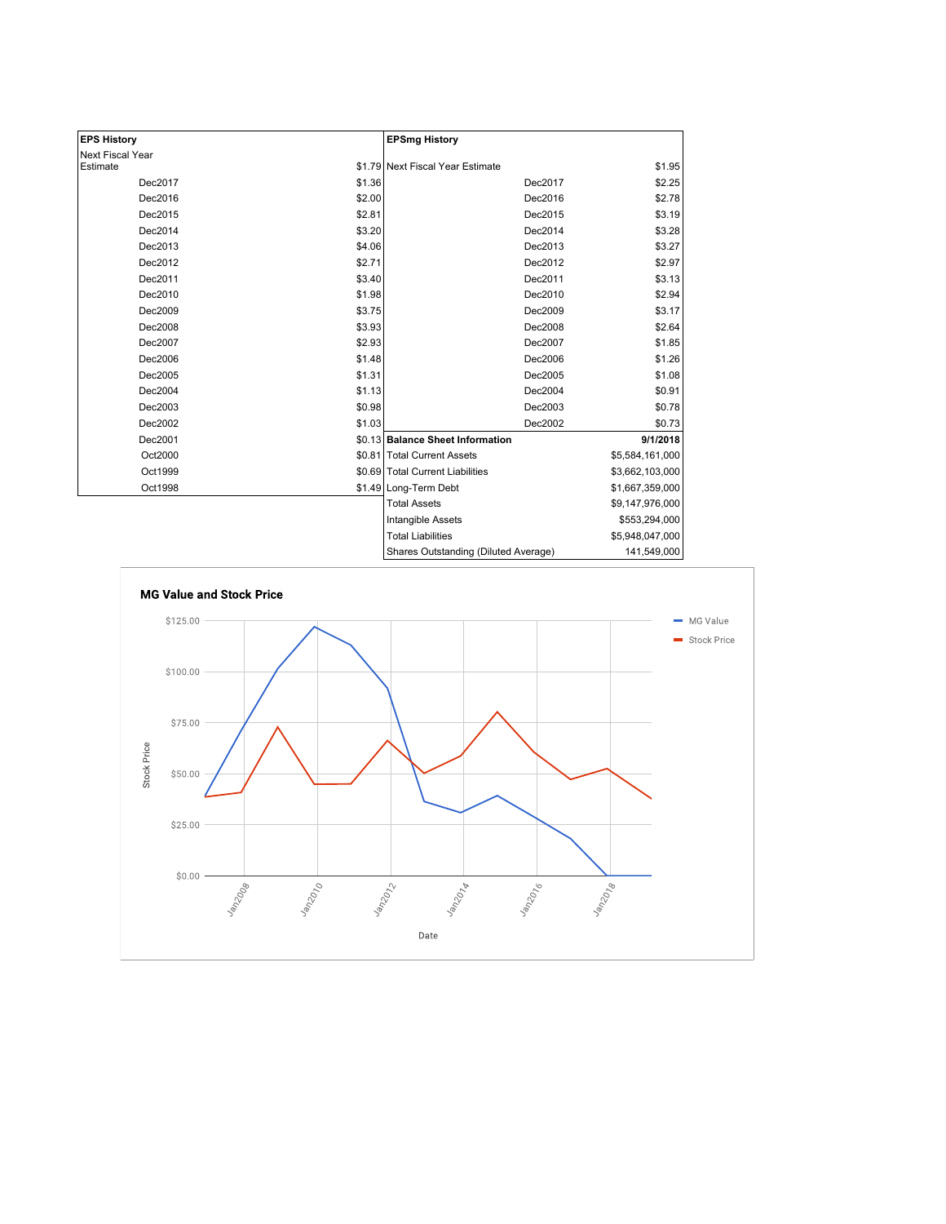| <b>EPS History</b> |        | <b>EPSmg History</b>                 |                 |
|--------------------|--------|--------------------------------------|-----------------|
| Next Fiscal Year   |        |                                      |                 |
| Estimate           |        | \$1.79 Next Fiscal Year Estimate     | \$1.95          |
| Dec2017            | \$1.36 | Dec2017                              | \$2.25          |
| Dec2016            | \$2.00 | Dec2016                              | \$2.78          |
| Dec2015            | \$2.81 | Dec2015                              | \$3.19          |
| Dec2014            | \$3.20 | Dec2014                              | \$3.28          |
| Dec2013            | \$4.06 | Dec2013                              | \$3.27          |
| Dec2012            | \$2.71 | Dec2012                              | \$2.97          |
| Dec2011            | \$3.40 | Dec2011                              | \$3.13          |
| Dec2010            | \$1.98 | Dec2010                              | \$2.94          |
| Dec2009            | \$3.75 | Dec2009                              | \$3.17          |
| Dec2008            | \$3.93 | Dec2008                              | \$2.64          |
| Dec2007            | \$2.93 | Dec2007                              | \$1.85          |
| Dec2006            | \$1.48 | Dec2006                              | \$1.26          |
| Dec2005            | \$1.31 | Dec2005                              | \$1.08          |
| Dec2004            | \$1.13 | Dec2004                              | \$0.91          |
| Dec2003            | \$0.98 | Dec2003                              | \$0.78          |
| Dec2002            | \$1.03 | Dec2002                              | \$0.73          |
| Dec2001            |        | \$0.13 Balance Sheet Information     | 9/1/2018        |
| Oct2000            |        | \$0.81 Total Current Assets          | \$5,584,161,000 |
| Oct1999            |        | \$0.69 Total Current Liabilities     | \$3,662,103,000 |
| Oct1998            |        | \$1.49 Long-Term Debt                | \$1,667,359,000 |
|                    |        | <b>Total Assets</b>                  | \$9,147,976,000 |
|                    |        | Intangible Assets                    | \$553,294,000   |
|                    |        | <b>Total Liabilities</b>             | \$5,948,047,000 |
|                    |        | Shares Outstanding (Diluted Average) | 141,549,000     |